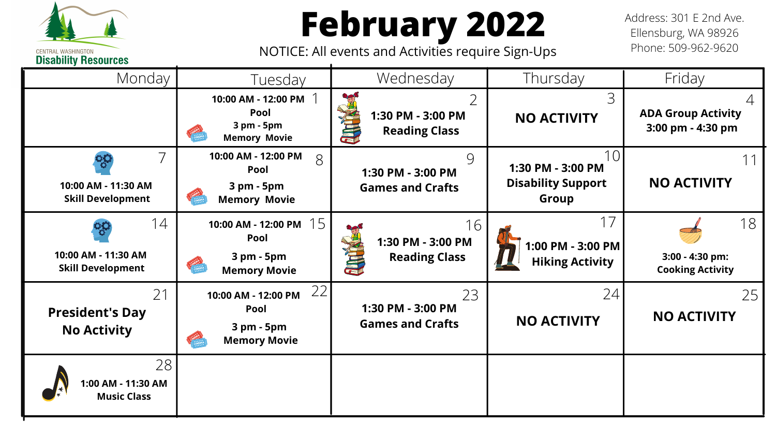**February 2022**

Address: 301 E 2nd Ave. Ellensburg, WA 98926 Phone: 509-962-9620

NOTICE: All events and Activities require Sign-Ups

**CENTRAL WASHINGTON Disability Resources** 



|                            | Thursday                                                       | Friday                                           |
|----------------------------|----------------------------------------------------------------|--------------------------------------------------|
| $\overline{2}$             | 3<br><b>NO ACTIVITY</b>                                        | <b>ADA Group Activity</b><br>3:00 pm - 4:30 pm   |
| 9                          | 1 C<br>1:30 PM - 3:00 PM<br><b>Disability Support</b><br>Group | <b>NO ACTIVITY</b>                               |
| 16<br>$\overline{\Lambda}$ | 1:00 PM - 3:00 PM<br><b>Hiking Activity</b>                    | 18<br>3:00 - 4:30 pm:<br><b>Cooking Activity</b> |
| ) =                        | 74<br><b>NO ACTIVITY</b>                                       | <b>NO ACTIVITY</b>                               |
|                            |                                                                |                                                  |